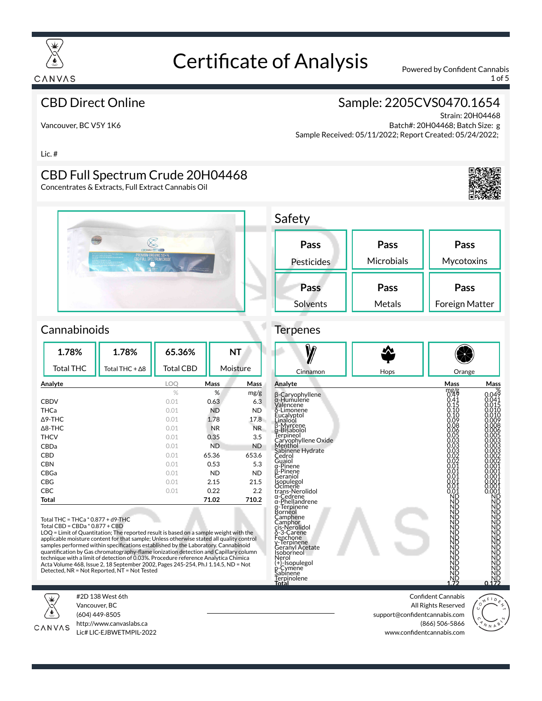

1 of 5

#### CBD Direct Online

## Sample: 2205CVS0470.1654

Vancouver, BC V5Y 1K6

Strain: 20H04468 Batch#: 20H04468; Batch Size: g Sample Received: 05/11/2022; Report Created: 05/24/2022;

Lic. #

### CBD Full Spectrum Crude 20H04468

Concentrates & Extracts, Full Extract Cannabis Oil



| Pass       | Pass              | Pass           |
|------------|-------------------|----------------|
| Pesticides | <b>Microbials</b> | Mycotoxins     |
| Pass       | Pass              | Pass           |
| Solvents   | Metals            | Foreign Matter |

#### **Cannabinoids**

| 1.78%             | 1.78%          | 65.36%           |           | <b>NT</b>        |
|-------------------|----------------|------------------|-----------|------------------|
| <b>Total THC</b>  | Total THC + ∆8 | <b>Total CBD</b> |           | Moisture         |
| Analyte           |                | LOQ              | Mass      | Mass             |
|                   |                | $\%$             | %         | mg/g             |
| <b>CBDV</b>       |                | 0.01             | 0.63      | 6.3              |
| <b>THCa</b>       |                | 0.01             | <b>ND</b> | <b>ND</b>        |
| $\triangle$ 9-THC |                | 0.01             | 1.78      | 17.8             |
| $\triangle$ 8-THC |                | 0.01             | <b>NR</b> | NR.              |
| <b>THCV</b>       |                | 0.01             | 0.35      | 3.5              |
| CBDa              |                | 0.01             | <b>ND</b> | <b>ND</b>        |
| CBD               |                | 0.01             | 65.36     | 653.6            |
| <b>CBN</b>        |                | 0.01             | 0.53      | 5.3              |
| CBGa              |                | 0.01             | ND        | <b>ND</b>        |
| <b>CBG</b>        |                | 0.01             | 2.15      | 21.5             |
| <b>CBC</b>        |                | 0.01             | 0.22      | $2.2\phantom{0}$ |
| Total             |                |                  | 71.02     | 710.2            |

Total THC = THCa \* 0.877 + d9-THC

LOQ = Limit of Quantitation; The reported result is based on a sample weight with the applicable moisture content for that sample; Unless otherwise stated all quality control<br>samples performed within specifications established by the Laboratory. Cannabinoid quantification by Gas chromatography-flame ionization detection and Capillary column technique with a limit of detection of 0.03%. Procedure reference Analytica Chimica Acta Volume 468, Issue 2, 18 September 2002, Pages 245-254, Ph.I 1.14.5, ND = Not Detected, NR = Not Reported, NT = Not Tested



#2D 138 West 6th Vancouver, BC (604) 449-8505



http://www.canvaslabs.ca Lic# LIC-EJBWETMPIL-2022

Confident Cannabis All Rights Reserved support@confidentcannabis.com (866) 506-5866 www.confidentcannabis.com



# Terpenes

 $C$ afaty







Total CBD = CBDa \* 0.877 + CBD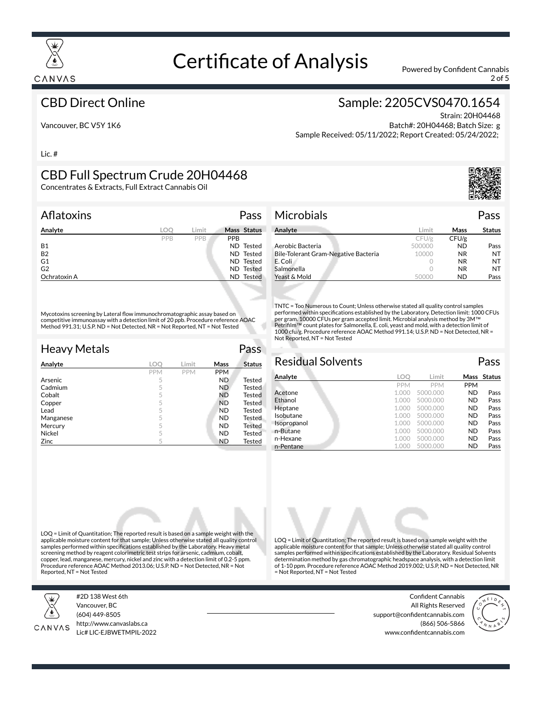

2 of 5

#### CBD Direct Online

### Sample: 2205CVS0470.1654

Vancouver, BC V5Y 1K6

Strain: 20H04468 Batch#: 20H04468; Batch Size: g Sample Received: 05/11/2022; Report Created: 05/24/2022;

Lic. #

# CBD Full Spectrum Crude 20H04468

Concentrates & Extracts, Full Extract Cannabis Oil

| Aflatoxins     |     | Pass                 |
|----------------|-----|----------------------|
| Analyte        | LOO | Mass Status<br>Limit |
|                | PPB | <b>PPB</b><br>PPB    |
| <b>B1</b>      |     | ND Tested            |
| <b>B2</b>      |     | ND Tested            |
| G1             |     | ND Tested            |
| G <sub>2</sub> |     | <b>ND</b> Tested     |
| Ochratoxin A   |     | ND Tested            |

Mycotoxins screening by Lateral flow immunochromatographic assay based on competitive immunoassay with a detection limit of 20 ppb. Procedure reference AOAC Method 991.31; U.S.P. ND = Not Detected, NR = Not Reported, NT = Not Tested

| <b>Heavy Metals</b> |     |            |            | Pass          |
|---------------------|-----|------------|------------|---------------|
| Analyte             | LOC | Limit      | Mass       | <b>Status</b> |
|                     | PPM | <b>PPM</b> | <b>PPM</b> |               |
| Arsenic             | 5   |            | <b>ND</b>  | <b>Tested</b> |
| Cadmium             | 5   |            | ND.        | <b>Tested</b> |
| Cobalt              | 5   |            | <b>ND</b>  | <b>Tested</b> |
| Copper              | 5   |            | <b>ND</b>  | Tested        |
| Lead                | 5   |            | <b>ND</b>  | <b>Tested</b> |
| Manganese           | 5   |            | <b>ND</b>  | <b>Tested</b> |
| Mercury             | 5   |            | <b>ND</b>  | Tested        |
| Nickel              | 5   |            | <b>ND</b>  | Tested        |
| Zinc                | 5   |            | <b>ND</b>  | Tested        |



| Analyte                              | Limit  | Mass      | <b>Status</b> |
|--------------------------------------|--------|-----------|---------------|
|                                      | CFU/g  | CFU/g     |               |
| Aerobic Bacteria                     | 500000 | ND        | Pass          |
| Bile-Tolerant Gram-Negative Bacteria | 10000  | <b>NR</b> | NT            |
| E. Coli                              |        | <b>NR</b> | NT            |
| Salmonella                           |        | <b>NR</b> | NT            |
| Yeast & Mold                         | 50000  | ND        | Pass          |

TNTC = Too Numerous to Count; Unless otherwise stated all quality control samples performed within specifications established by the Laboratory. Detection limit: 1000 CFUs per gram. 10000 CFUs per gram accepted limit. Microbial analysis method by 3M™<br>Petrifilm™ count plates for Salmonella, E. coli, yeast and mold, with a detection limit of 1000 cfu/g. Procedure reference AOAC Method 991.14; U.S.P. ND = Not Detected, NR = Not Reported, NT = Not Tested

| <b>Residual Solvents</b> |            |            |            | Pass        |
|--------------------------|------------|------------|------------|-------------|
| Analyte                  | LOC        | Limit      |            | Mass Status |
|                          | <b>PPM</b> | <b>PPM</b> | <b>PPM</b> |             |
| Acetone                  | 1.000      | 5000.000   | <b>ND</b>  | Pass        |
| Ethanol                  | 1.000      | 5000.000   | <b>ND</b>  | Pass        |
| Heptane                  | 1.000      | 5000.000   | <b>ND</b>  | Pass        |
| Isobutane                | 1.000      | 5000.000   | <b>ND</b>  | Pass        |
| Isopropanol              | 1.000      | 5000.000   | <b>ND</b>  | Pass        |
| n-Butane                 | 1.000      | 5000.000   | <b>ND</b>  | Pass        |
| n-Hexane                 | 1.000      | 5000.000   | <b>ND</b>  | Pass        |
| n-Pentane                |            | 5000.000   | <b>ND</b>  | Pass        |

LOQ = Limit of Quantitation; The reported result is based on a sample weight with the applicable moisture content for that sample; Unless otherwise stated all quality control samples performed within specifications established by the Laboratory. Heavy metal screening method by reagent colorimetric test strips for arsenic, cadmium, cobalt, copper, lead, manganese, mercury, nickel and zinc with a detection limit of 0.2-5 ppm. Procedure reference AOAC Method 2013.06; U.S.P. ND = Not Detected, NR = Not Reported, NT = Not Tested



#2D 138 West 6th Vancouver, BC (604) 449-8505



http://www.canvaslabs.ca Lic# LIC-EJBWETMPIL-2022 samples performed within specifications established by the Laboratory. Residual Solvents determination method by gas chromatographic headspace analysis, with a detection limit of 1-10 ppm. Procedure reference AOAC Method 2019.002; U.S.P, ND = Not Detected, NR = Not Reported, NT = Not Tested

LOQ = Limit of Quantitation; The reported result is based on a sample weight with the applicable moisture content for that sample; Unless otherwise stated all quality control

> Confident Cannabis All Rights Reserved support@confidentcannabis.com (866) 506-5866 www.confidentcannabis.com

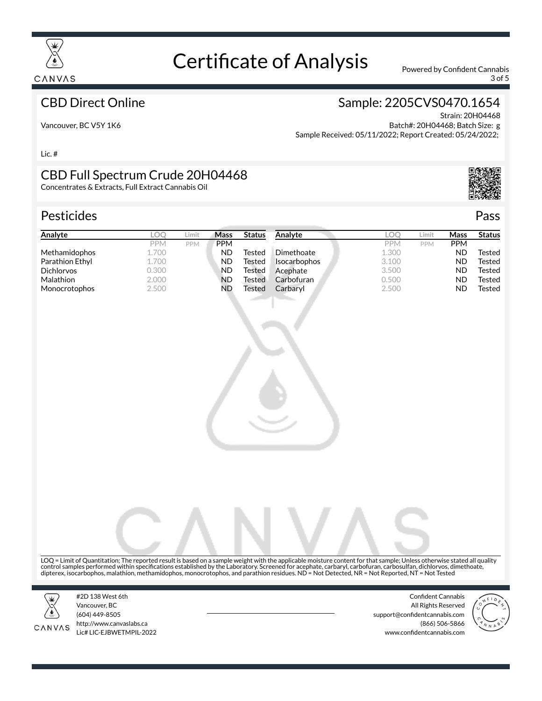

3 of 5

#### CBD Direct Online

# Sample: 2205CVS0470.1654

Vancouver, BC V5Y 1K6

Strain: 20H04468 Batch#: 20H04468; Batch Size: g Sample Received: 05/11/2022; Report Created: 05/24/2022;

Lic. #

#### CBD Full Spectrum Crude 20H04468

Concentrates & Extracts, Full Extract Cannabis Oil

#### Pesticides **Passage Contract Contract Contract Contract Contract Contract Contract Contract Contract Contract Contract Contract Contract Contract Contract Contract Contract Contract Contract Contract Contract Contract Cont**

| Analyte              | LOC   | Limit      | Mass       | <b>Status</b> | Analyte             | LOC        | Limit      | Mass       | <b>Status</b> |
|----------------------|-------|------------|------------|---------------|---------------------|------------|------------|------------|---------------|
|                      | PPM   | <b>PPM</b> | <b>PPM</b> |               |                     | <b>PPM</b> | <b>PPM</b> | <b>PPM</b> |               |
| <b>Methamidophos</b> | 1.700 |            | ND         | Tested        | Dimethoate          | 1.300      |            | ND         | Tested        |
| Parathion Ethyl      | 1.700 |            | ND         | Tested        | <b>Isocarbophos</b> | 3.100      |            | ND         | Tested        |
| <b>Dichlorvos</b>    | 0.300 |            | ND         | Tested        | Acephate            | 3.500      |            | ND         | Tested        |
| <b>Malathion</b>     | 2.000 |            | ND         | Tested        | Carbofuran          | 0.500      |            | ND         | Tested        |
| <b>Monocrotophos</b> | 2.500 |            | ND         | Tested        | Carbaryl            | 2.500      |            | ND         | Tested        |



LOQ = Limit of Quantitation; The reported result is based on a sample weight with the applicable moisture content for that sample; Unless otherwise stated all quality control samples performed within specifications established by the Laboratory. Screened for acephate, carbaryl, carbofuran, carbosulfan, dichlorvos, dimethoate,<br>dipterex, isocarbophos, malathion, methamidophos, monocrotoph



CANVAS

#2D 138 West 6th Vancouver, BC (604) 449-8505 http://www.canvaslabs.ca Lic# LIC-EJBWETMPIL-2022

Confident Cannabis All Rights Reserved support@confidentcannabis.com (866) 506-5866 www.confidentcannabis.com



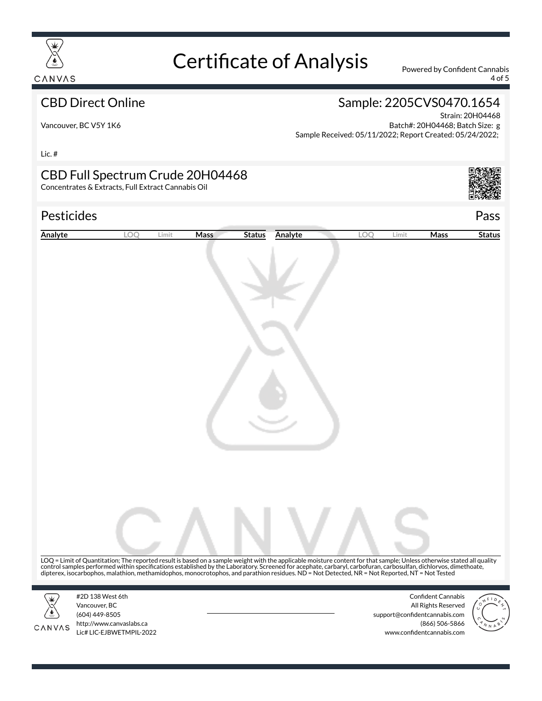

4 of 5

#### CBD Direct Online

### Sample: 2205CVS0470.1654

Vancouver, BC V5Y 1K6

Strain: 20H04468 Batch#: 20H04468; Batch Size: g Sample Received: 05/11/2022; Report Created: 05/24/2022;

Lic. #

#### CBD Full Spectrum Crude 20H04468

Concentrates & Extracts, Full Extract Cannabis Oil

#### Pesticides Pass

| Analyte | LOO                                                                             | Limit | <b>Mass</b><br><b>Status</b> | Analyte                                                                                                                                                                                                                                                                                                                                                                                                  | LOO | Limit                         | <b>Mass</b>                                                        | <b>Status</b> |
|---------|---------------------------------------------------------------------------------|-------|------------------------------|----------------------------------------------------------------------------------------------------------------------------------------------------------------------------------------------------------------------------------------------------------------------------------------------------------------------------------------------------------------------------------------------------------|-----|-------------------------------|--------------------------------------------------------------------|---------------|
|         |                                                                                 |       |                              |                                                                                                                                                                                                                                                                                                                                                                                                          |     |                               |                                                                    |               |
| CANVAS  | #2D 138 West 6th<br>Vancouver, BC<br>(604) 449-8505<br>http://www.canvaslabs.ca |       |                              | LOQ = Limit of Quantitation; The reported result is based on a sample weight with the applicable moisture content for that sample; Unless otherwise stated all quality<br>control samples performed within specifications established by the Laboratory. Screened for acephate, carbaryl, carbofuran, carbosulfan, dichlorvos, dimethoate, dipterex, isocarbophos, malathion, methamidophos, monocrotoph |     | support@confidentcannabis.com | <b>Confident Cannabis</b><br>All Rights Reserved<br>(866) 506-5866 |               |